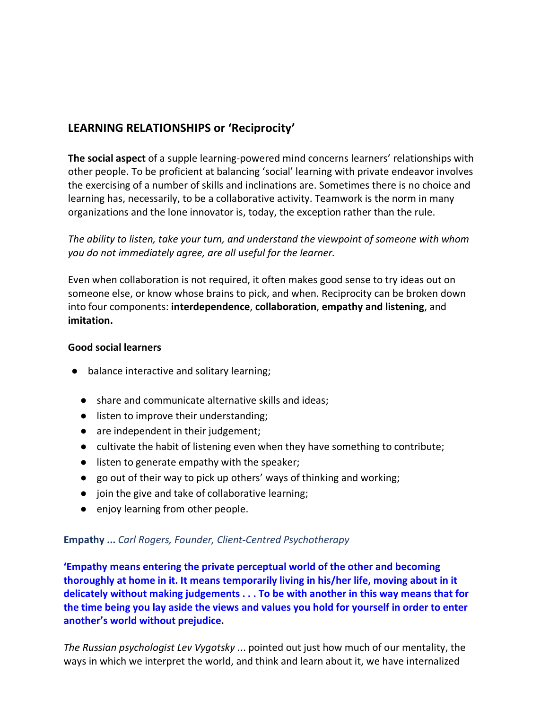## **LEARNING RELATIONSHIPS or 'Reciprocity'**

**The social aspect** of a supple learning-powered mind concerns learners' relationships with other people. To be proficient at balancing 'social' learning with private endeavor involves the exercising of a number of skills and inclinations are. Sometimes there is no choice and learning has, necessarily, to be a collaborative activity. Teamwork is the norm in many organizations and the lone innovator is, today, the exception rather than the rule.

*The ability to listen, take your turn, and understand the viewpoint of someone with whom you do not immediately agree, are all useful for the learner.*

Even when collaboration is not required, it often makes good sense to try ideas out on someone else, or know whose brains to pick, and when. Reciprocity can be broken down into four components: **interdependence**, **collaboration**, **empathy and listening**, and **imitation.**

## **Good social learners**

- balance interactive and solitary learning;
	- share and communicate alternative skills and ideas;
	- listen to improve their understanding;
	- are independent in their judgement;
	- cultivate the habit of listening even when they have something to contribute;
	- listen to generate empathy with the speaker;
	- go out of their way to pick up others' ways of thinking and working;
	- join the give and take of collaborative learning;
	- enjoy learning from other people.

## **Empathy ...** *Carl Rogers, Founder, Client-Centred Psychotherapy*

**another's world without prejudice. the time being you lay aside the views and values you hold for yourself in order to enter delicately without making judgements . . . To be with another in this way means that for thoroughly at home in it. It means temporarily living in his/her life, moving about in it 'Empathy means entering the private perceptual world of the other and becoming** 

ways in which we interpret the world, and think and learn about it, we have internalized *The Russian psychologist Lev Vygotsky* ... pointed out just how much of our mentality, the